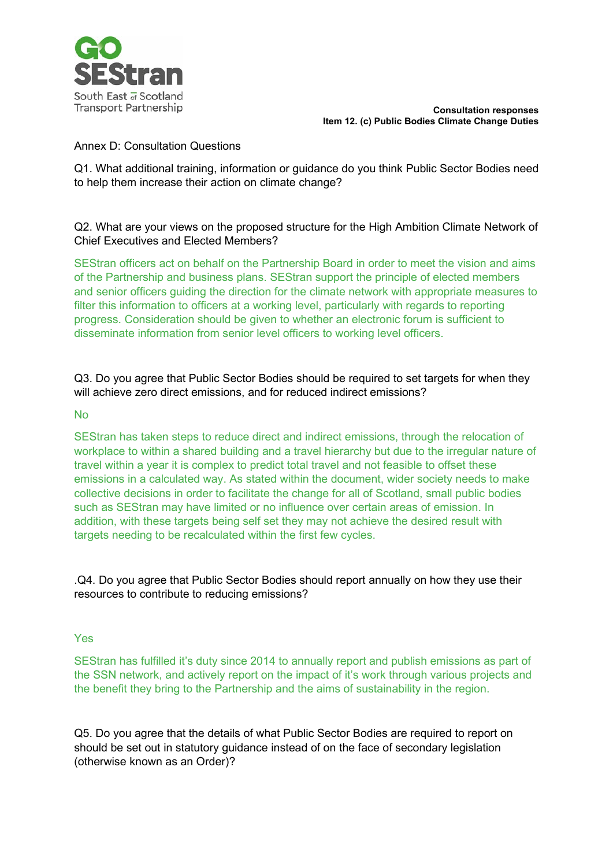

**Consultation responses Item 12. (c) Public Bodies Climate Change Duties**

## Annex D: Consultation Questions

Q1. What additional training, information or guidance do you think Public Sector Bodies need to help them increase their action on climate change?

# Q2. What are your views on the proposed structure for the High Ambition Climate Network of Chief Executives and Elected Members?

SEStran officers act on behalf on the Partnership Board in order to meet the vision and aims of the Partnership and business plans. SEStran support the principle of elected members and senior officers guiding the direction for the climate network with appropriate measures to filter this information to officers at a working level, particularly with regards to reporting progress. Consideration should be given to whether an electronic forum is sufficient to disseminate information from senior level officers to working level officers.

Q3. Do you agree that Public Sector Bodies should be required to set targets for when they will achieve zero direct emissions, and for reduced indirect emissions?

### **No**

SEStran has taken steps to reduce direct and indirect emissions, through the relocation of workplace to within a shared building and a travel hierarchy but due to the irregular nature of travel within a year it is complex to predict total travel and not feasible to offset these emissions in a calculated way. As stated within the document, wider society needs to make collective decisions in order to facilitate the change for all of Scotland, small public bodies such as SEStran may have limited or no influence over certain areas of emission. In addition, with these targets being self set they may not achieve the desired result with targets needing to be recalculated within the first few cycles.

.Q4. Do you agree that Public Sector Bodies should report annually on how they use their resources to contribute to reducing emissions?

### Yes

SEStran has fulfilled it's duty since 2014 to annually report and publish emissions as part of the SSN network, and actively report on the impact of it's work through various projects and the benefit they bring to the Partnership and the aims of sustainability in the region.

Q5. Do you agree that the details of what Public Sector Bodies are required to report on should be set out in statutory guidance instead of on the face of secondary legislation (otherwise known as an Order)?